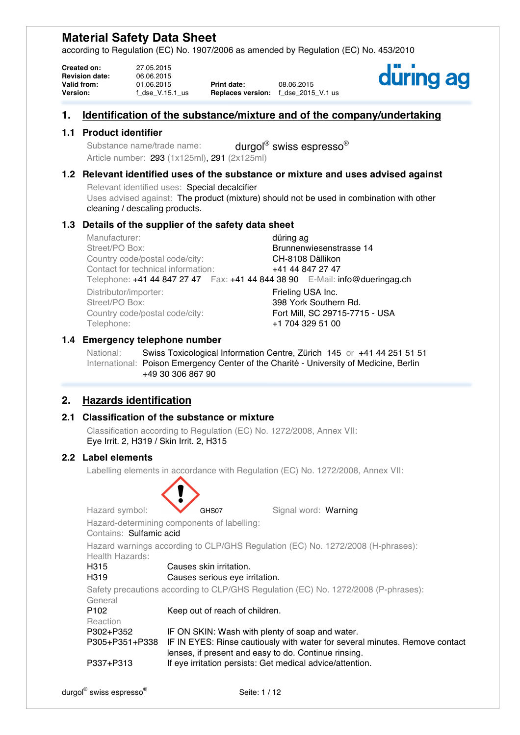according to Regulation (EC) No. 1907/2006 as amended by Regulation (EC) No. 453/2010

| <b>Created on:</b>    | 27.05.2015      |                                     |            |
|-----------------------|-----------------|-------------------------------------|------------|
| <b>Revision date:</b> | 06.06.2015      |                                     |            |
| <b>Valid from:</b>    | 01.06.2015      | Print date:                         | 08.06.2015 |
| <b>Version:</b>       | f dse V.15.1 us | <b>Replaces version:</b> f_dse_2015 |            |

**Version:** f\_dse\_V.15.1\_us **Replaces version:** f\_dse\_2015\_V.1 us



# **1. Identification of the substance/mixture and of the company/undertaking**

## **1.1 Product identifier**

Substance name/trade name: durgol® swiss espresso<sup>®</sup> Article number: 293 (1x125ml), 291 (2x125ml)

# **1.2 Relevant identified uses of the substance or mixture and uses advised against**

Relevant identified uses: Special decalcifier Uses advised against: The product (mixture) should not be used in combination with other cleaning / descaling products.

## **1.3 Details of the supplier of the safety data sheet**

Manufacturer: **düring agreement of the during agreement of the during agreement of the during agreement of the during agreement of the during agreement of the during agreement of the during agreement of the during agreemen** Street/PO Box: Brunnenwiesenstrasse 14 Country code/postal code/city: CH-8108 Dällikon Contact for technical information: +41 44 847 27 47 Telephone: +41 44 847 27 47 Fax: +41 44 844 38 90 E-Mail: info@dueringag.ch Distributor/importer: Frieling USA Inc.<br>Street/PO Box: 398 York Souther 398 York Southern Rd.<br>Fort Mill. SC 29715-7715 - USA Country code/postal code/city: Telephone: +1 704 329 51 00

## **1.4 Emergency telephone number**

National: Swiss Toxicological Information Centre, Zürich 145 or +41 44 251 51 51 International: Poison Emergency Center of the Charité - University of Medicine, Berlin +49 30 306 867 90

# **2. Hazards identification**

# **2.1 Classification of the substance or mixture**

Classification according to Regulation (EC) No. 1272/2008, Annex VII: Eye Irrit. 2, H319 / Skin Irrit. 2, H315

#### **2.2 Label elements**

Labelling elements in accordance with Regulation (EC) No. 1272/2008, Annex VII:

| Hazard symbol:          | GHS07                                                                           | Signal word: Warning |                                                                                    |
|-------------------------|---------------------------------------------------------------------------------|----------------------|------------------------------------------------------------------------------------|
|                         | Hazard-determining components of labelling:                                     |                      |                                                                                    |
| Contains: Sulfamic acid |                                                                                 |                      |                                                                                    |
| Health Hazards:         | Hazard warnings according to CLP/GHS Regulation (EC) No. 1272/2008 (H-phrases): |                      |                                                                                    |
| H315                    | Causes skin irritation.                                                         |                      |                                                                                    |
| H319                    | Causes serious eye irritation.                                                  |                      |                                                                                    |
|                         |                                                                                 |                      | Safety precautions according to CLP/GHS Regulation (EC) No. 1272/2008 (P-phrases): |
| General                 |                                                                                 |                      |                                                                                    |
| P102<br>Reaction        | Keep out of reach of children.                                                  |                      |                                                                                    |
| P302+P352               | IF ON SKIN: Wash with plenty of soap and water.                                 |                      |                                                                                    |
| P305+P351+P338          | lenses, if present and easy to do. Continue rinsing.                            |                      | IF IN EYES: Rinse cautiously with water for several minutes. Remove contact        |
| P337+P313               | If eye irritation persists: Get medical advice/attention.                       |                      |                                                                                    |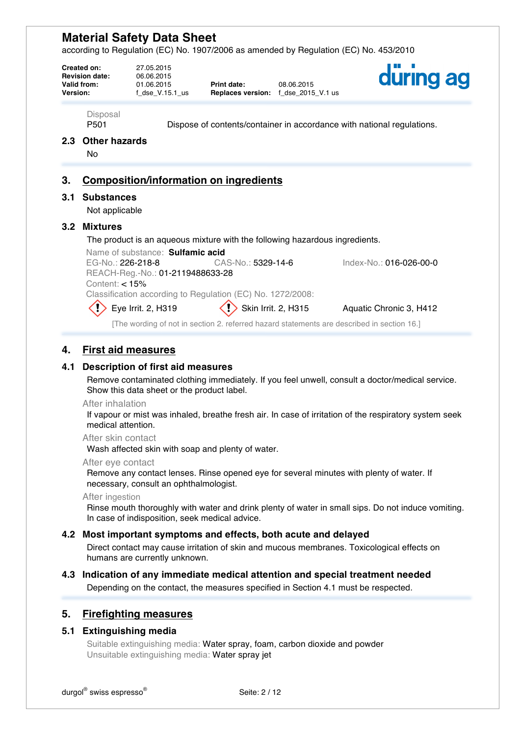according to Regulation (EC) No. 1907/2006 as amended by Regulation (EC) No. 453/2010

| Disposal<br>P <sub>501</sub><br>Dispose of contents/container in accordance with national regulations.<br>Other hazards<br>2.3<br>No<br><b>Composition/information on ingredients</b><br>3.<br><b>Substances</b><br>3.1<br>Not applicable<br><b>Mixtures</b><br>3.2<br>The product is an aqueous mixture with the following hazardous ingredients.<br>Name of substance: Sulfamic acid<br>EG-No.: 226-218-8<br>CAS-No.: 5329-14-6<br>Index-No.: 016-026-00-0<br>REACH-Reg.-No.: 01-2119488633-28<br>Content: $< 15%$ | Version: | Created on:<br><b>Revision date:</b><br>Valid from: | 27.05.2015<br>06.06.2015<br>01.06.2015<br>f dse $V.15.1$ us | Print date: | 08.06.2015<br><b>Replaces version:</b> f dse 2015 V.1 us | during ag |
|----------------------------------------------------------------------------------------------------------------------------------------------------------------------------------------------------------------------------------------------------------------------------------------------------------------------------------------------------------------------------------------------------------------------------------------------------------------------------------------------------------------------|----------|-----------------------------------------------------|-------------------------------------------------------------|-------------|----------------------------------------------------------|-----------|
|                                                                                                                                                                                                                                                                                                                                                                                                                                                                                                                      |          |                                                     |                                                             |             |                                                          |           |
|                                                                                                                                                                                                                                                                                                                                                                                                                                                                                                                      |          |                                                     |                                                             |             |                                                          |           |
|                                                                                                                                                                                                                                                                                                                                                                                                                                                                                                                      |          |                                                     |                                                             |             |                                                          |           |
|                                                                                                                                                                                                                                                                                                                                                                                                                                                                                                                      |          |                                                     |                                                             |             |                                                          |           |
|                                                                                                                                                                                                                                                                                                                                                                                                                                                                                                                      |          |                                                     |                                                             |             |                                                          |           |
| Classification according to Regulation (EC) No. 1272/2008:                                                                                                                                                                                                                                                                                                                                                                                                                                                           |          |                                                     |                                                             |             |                                                          |           |
| Eye Irrit. 2, H319<br>Skin Irrit. 2, H315<br>Aquatic Chronic 3, H412<br>[The wording of not in section 2. referred hazard statements are described in section 16.]                                                                                                                                                                                                                                                                                                                                                   |          |                                                     |                                                             |             |                                                          |           |

# **4. First aid measures**

### **4.1 Description of first aid measures**

Remove contaminated clothing immediately. If you feel unwell, consult a doctor/medical service. Show this data sheet or the product label.

#### After inhalation

If vapour or mist was inhaled, breathe fresh air. In case of irritation of the respiratory system seek medical attention.

After skin contact

Wash affected skin with soap and plenty of water.

#### After eye contact

Remove any contact lenses. Rinse opened eye for several minutes with plenty of water. If necessary, consult an ophthalmologist.

After ingestion

Rinse mouth thoroughly with water and drink plenty of water in small sips. Do not induce vomiting. In case of indisposition, seek medical advice.

### **4.2 Most important symptoms and effects, both acute and delayed**

Direct contact may cause irritation of skin and mucous membranes. Toxicological effects on humans are currently unknown.

# **4.3 Indication of any immediate medical attention and special treatment needed**

Depending on the contact, the measures specified in Section 4.1 must be respected.

#### **5. Firefighting measures**

#### **5.1 Extinguishing media**

Suitable extinguishing media: Water spray, foam, carbon dioxide and powder Unsuitable extinguishing media: Water spray jet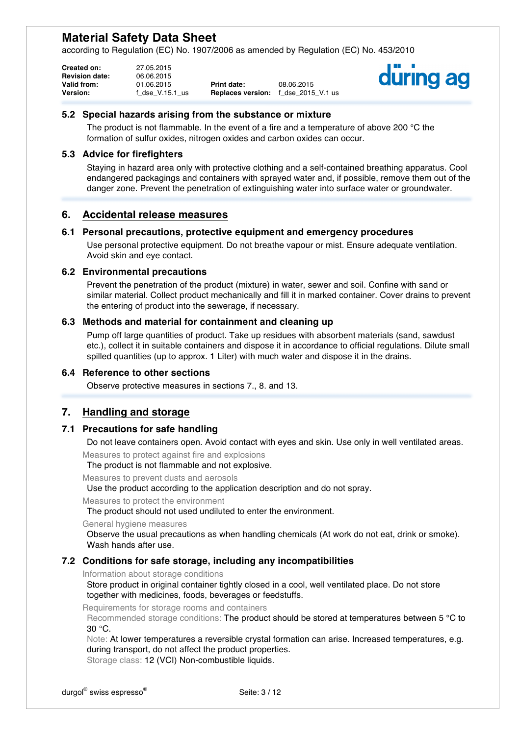according to Regulation (EC) No. 1907/2006 as amended by Regulation (EC) No. 453/2010

| <b>Created on:</b>    | 27.05.2015      |                                            |            |
|-----------------------|-----------------|--------------------------------------------|------------|
| <b>Revision date:</b> | 06.06.2015      |                                            |            |
| Valid from:           | 01.06.2015      | <b>Print date:</b>                         | 08.06.2015 |
| <b>Version:</b>       | f dse V.15.1 us | <b>Replaces version:</b> f dse 2015 V.1 us |            |



#### **5.2 Special hazards arising from the substance or mixture**

The product is not flammable. In the event of a fire and a temperature of above 200 °C the formation of sulfur oxides, nitrogen oxides and carbon oxides can occur.

#### **5.3 Advice for firefighters**

Staying in hazard area only with protective clothing and a self-contained breathing apparatus. Cool endangered packagings and containers with sprayed water and, if possible, remove them out of the danger zone. Prevent the penetration of extinguishing water into surface water or groundwater.

## **6. Accidental release measures**

#### **6.1 Personal precautions, protective equipment and emergency procedures**

Use personal protective equipment. Do not breathe vapour or mist. Ensure adequate ventilation. Avoid skin and eye contact.

#### **6.2 Environmental precautions**

Prevent the penetration of the product (mixture) in water, sewer and soil. Confine with sand or similar material. Collect product mechanically and fill it in marked container. Cover drains to prevent the entering of product into the sewerage, if necessary.

### **6.3 Methods and material for containment and cleaning up**

Pump off large quantities of product. Take up residues with absorbent materials (sand, sawdust etc.), collect it in suitable containers and dispose it in accordance to official regulations. Dilute small spilled quantities (up to approx. 1 Liter) with much water and dispose it in the drains.

#### **6.4 Reference to other sections**

Observe protective measures in sections 7., 8. and 13.

# **7. Handling and storage**

#### **7.1 Precautions for safe handling**

Do not leave containers open. Avoid contact with eyes and skin. Use only in well ventilated areas.

Measures to protect against fire and explosions

The product is not flammable and not explosive.

Measures to prevent dusts and aerosols

Use the product according to the application description and do not spray.

Measures to protect the environment

The product should not used undiluted to enter the environment.

General hygiene measures

Observe the usual precautions as when handling chemicals (At work do not eat, drink or smoke). Wash hands after use.

#### **7.2 Conditions for safe storage, including any incompatibilities**

Information about storage conditions

Store product in original container tightly closed in a cool, well ventilated place. Do not store together with medicines, foods, beverages or feedstuffs.

Requirements for storage rooms and containers

Recommended storage conditions: The product should be stored at temperatures between 5 °C to 30 °C.

Note: At lower temperatures a reversible crystal formation can arise. Increased temperatures, e.g. during transport, do not affect the product properties. Storage class: 12 (VCI) Non-combustible liquids.

durgol<sup>®</sup> swiss espresso<sup>®</sup> subsette: 3 / 12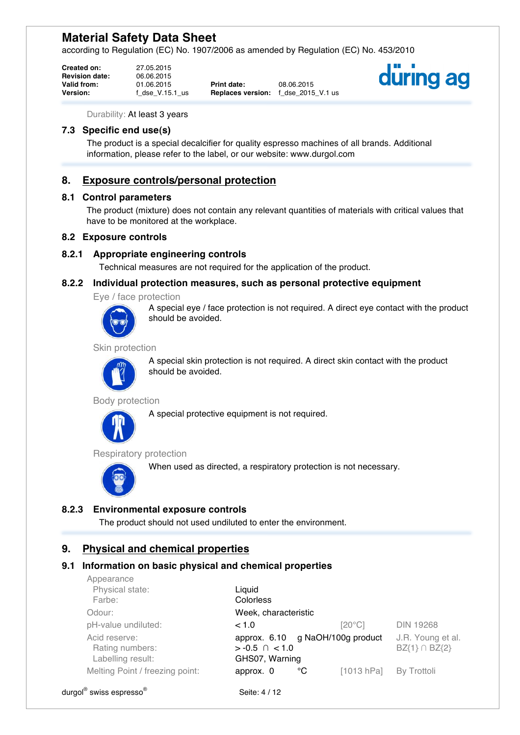according to Regulation (EC) No. 1907/2006 as amended by Regulation (EC) No. 453/2010

| <b>Created on:</b>    | 27.05.2015      |                                     |            |
|-----------------------|-----------------|-------------------------------------|------------|
| <b>Revision date:</b> | 06.06.2015      |                                     |            |
| <b>Valid from:</b>    | 01.06.2015      | <b>Print date:</b>                  | 08.06.2015 |
| <b>Version:</b>       | f dse V.15.1 us | <b>Replaces version:</b> f dse 2015 |            |

**Version:** f\_dse\_V.15.1\_us **Replaces version:** f\_dse\_2015\_V.1 us



Durability: At least 3 years

# **7.3 Specific end use(s)**

The product is a special decalcifier for quality espresso machines of all brands. Additional information, please refer to the label, or our website: www.durgol.com

# **8. Exposure controls/personal protection**

#### **8.1 Control parameters**

The product (mixture) does not contain any relevant quantities of materials with critical values that have to be monitored at the workplace.

#### **8.2 Exposure controls**

#### **8.2.1 Appropriate engineering controls**

Technical measures are not required for the application of the product.

#### **8.2.2 Individual protection measures, such as personal protective equipment**

Eye / face protection



A special eye / face protection is not required. A direct eye contact with the product should be avoided.

Skin protection



A special skin protection is not required. A direct skin contact with the product should be avoided.

#### Body protection

A special protective equipment is not required.



Respiratory protection

When used as directed, a respiratory protection is not necessary.



*Appearance* 

#### **8.2.3 Environmental exposure controls**

The product should not used undiluted to enter the environment.

# **9. Physical and chemical properties**

#### **9.1 Information on basic physical and chemical properties**

| <u>UNNealalloc</u><br>Physical state:<br>Farbe:       | Liquid<br>Colorless                                                       |            |                                         |
|-------------------------------------------------------|---------------------------------------------------------------------------|------------|-----------------------------------------|
| Odour:                                                | Week, characteristic                                                      |            |                                         |
| pH-value undiluted:                                   | < 1.0                                                                     | [20°C]     | <b>DIN 19268</b>                        |
| Acid reserve:<br>Rating numbers:<br>Labelling result: | approx. 6.10 g NaOH/100g product<br>$> -0.5 \cap < 1.0$<br>GHS07, Warning |            | J.R. Young et al.<br>$BZ{1} \cap BZ{2}$ |
| Melting Point / freezing point:                       | °C<br>approx. 0                                                           | [1013 hPa] | By Trottoli                             |
| durgol <sup>®</sup> swiss espresso <sup>®</sup>       | Seite: 4 / 12                                                             |            |                                         |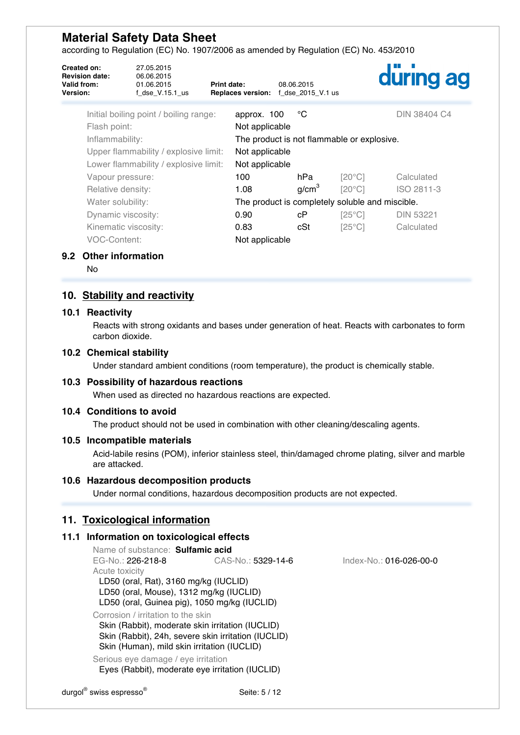according to Regulation (EC) No. 1907/2006 as amended by Regulation (EC) No. 453/2010

| <b>Created on:</b><br><b>Revision date:</b><br>Valid from:<br>Version: | 27.05.2015<br>06.06.2015<br>01.06.2015<br>$f$ _dse_V.15.1_us | Print date:<br><b>Replaces version:</b> | 08.06.2015<br>f_dse_2015_V.1 us                 |                 | during ag           |
|------------------------------------------------------------------------|--------------------------------------------------------------|-----------------------------------------|-------------------------------------------------|-----------------|---------------------|
| Flash point:                                                           | Initial boiling point / boiling range:                       | approx. 100<br>Not applicable           | °C                                              |                 | <b>DIN 38404 C4</b> |
| Inflammability:                                                        |                                                              |                                         | The product is not flammable or explosive.      |                 |                     |
|                                                                        | Upper flammability / explosive limit:                        | Not applicable                          |                                                 |                 |                     |
|                                                                        | Lower flammability / explosive limit:                        | Not applicable                          |                                                 |                 |                     |
| Vapour pressure:                                                       |                                                              | 100                                     | hPa                                             | $[20^{\circ}C]$ | Calculated          |
| Relative density:                                                      |                                                              | 1.08                                    | g/cm <sup>3</sup>                               | $[20^{\circ}C]$ | ISO 2811-3          |
| Water solubility:                                                      |                                                              |                                         | The product is completely soluble and miscible. |                 |                     |
| Dynamic viscosity:                                                     |                                                              | 0.90                                    | сP                                              | $[25^{\circ}C]$ | <b>DIN 53221</b>    |
| Kinematic viscosity:                                                   |                                                              | 0.83                                    | cSt                                             | $[25^{\circ}C]$ | Calculated          |
| VOC-Content:                                                           |                                                              | Not applicable                          |                                                 |                 |                     |

#### **9.2 Other information**

No

# **10. Stability and reactivity**

#### **10.1 Reactivity**

Reacts with strong oxidants and bases under generation of heat. Reacts with carbonates to form carbon dioxide.

#### **10.2 Chemical stability**

Under standard ambient conditions (room temperature), the product is chemically stable.

#### **10.3 Possibility of hazardous reactions**

When used as directed no hazardous reactions are expected.

### **10.4 Conditions to avoid**

The product should not be used in combination with other cleaning/descaling agents.

#### **10.5 Incompatible materials**

Acid-labile resins (POM), inferior stainless steel, thin/damaged chrome plating, silver and marble are attacked.

#### **10.6 Hazardous decomposition products**

Under normal conditions, hazardous decomposition products are not expected.

## **11. Toxicological information**

#### **11.1 Information on toxicological effects**

Name of substance: **Sulfamic acid**<br>EG-No.: 226-218-8 CAS CAS-No.: 5329-14-6 Index-No.: 016-026-00-0 Acute toxicity LD50 (oral, Rat), 3160 mg/kg (IUCLID) LD50 (oral, Mouse), 1312 mg/kg (IUCLID) LD50 (oral, Guinea pig), 1050 mg/kg (IUCLID) Corrosion / irritation to the skin Skin (Rabbit), moderate skin irritation (IUCLID)

Skin (Rabbit), 24h, severe skin irritation (IUCLID) Skin (Human), mild skin irritation (IUCLID)

Serious eye damage / eye irritation Eyes (Rabbit), moderate eye irritation (IUCLID)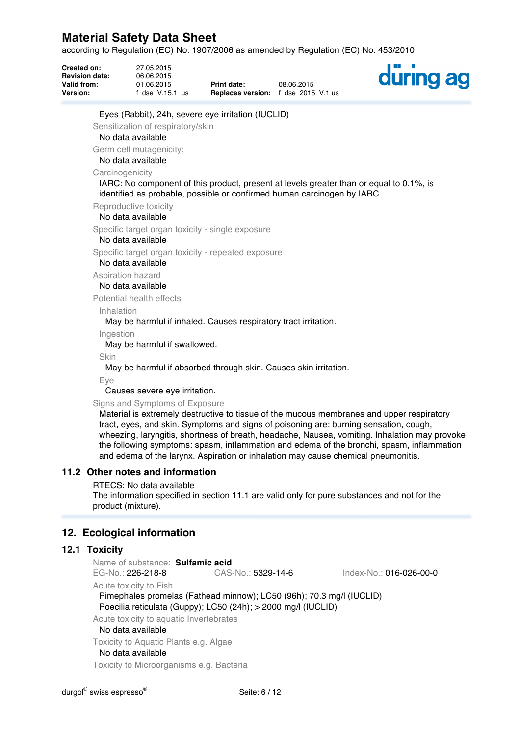according to Regulation (EC) No. 1907/2006 as amended by Regulation (EC) No. 453/2010

| Created on:<br><b>Revision date:</b><br>Valid from:<br><b>Version:</b> | 27.05.2015<br>06.06.2015<br>01.06.2015<br>$f$ _dse_V.15.1_us                                                                                                    | <b>Print date:</b> | 08.06.2015<br>Replaces version: f_dse_2015_V.1 us | düring ag                                                                                                                                                                                                                                                                                                                                                                        |
|------------------------------------------------------------------------|-----------------------------------------------------------------------------------------------------------------------------------------------------------------|--------------------|---------------------------------------------------|----------------------------------------------------------------------------------------------------------------------------------------------------------------------------------------------------------------------------------------------------------------------------------------------------------------------------------------------------------------------------------|
|                                                                        | Eyes (Rabbit), 24h, severe eye irritation (IUCLID)                                                                                                              |                    |                                                   |                                                                                                                                                                                                                                                                                                                                                                                  |
|                                                                        | Sensitization of respiratory/skin<br>No data available                                                                                                          |                    |                                                   |                                                                                                                                                                                                                                                                                                                                                                                  |
|                                                                        | Germ cell mutagenicity:<br>No data available                                                                                                                    |                    |                                                   |                                                                                                                                                                                                                                                                                                                                                                                  |
|                                                                        | Carcinogenicity<br>identified as probable, possible or confirmed human carcinogen by IARC.                                                                      |                    |                                                   | IARC: No component of this product, present at levels greater than or equal to 0.1%, is                                                                                                                                                                                                                                                                                          |
|                                                                        | Reproductive toxicity<br>No data available                                                                                                                      |                    |                                                   |                                                                                                                                                                                                                                                                                                                                                                                  |
|                                                                        | Specific target organ toxicity - single exposure<br>No data available                                                                                           |                    |                                                   |                                                                                                                                                                                                                                                                                                                                                                                  |
|                                                                        | Specific target organ toxicity - repeated exposure<br>No data available                                                                                         |                    |                                                   |                                                                                                                                                                                                                                                                                                                                                                                  |
|                                                                        | Aspiration hazard<br>No data available                                                                                                                          |                    |                                                   |                                                                                                                                                                                                                                                                                                                                                                                  |
|                                                                        | Potential health effects                                                                                                                                        |                    |                                                   |                                                                                                                                                                                                                                                                                                                                                                                  |
| Inhalation                                                             |                                                                                                                                                                 |                    |                                                   |                                                                                                                                                                                                                                                                                                                                                                                  |
|                                                                        | May be harmful if inhaled. Causes respiratory tract irritation.                                                                                                 |                    |                                                   |                                                                                                                                                                                                                                                                                                                                                                                  |
| Ingestion                                                              | May be harmful if swallowed.                                                                                                                                    |                    |                                                   |                                                                                                                                                                                                                                                                                                                                                                                  |
| Skin                                                                   | May be harmful if absorbed through skin. Causes skin irritation.                                                                                                |                    |                                                   |                                                                                                                                                                                                                                                                                                                                                                                  |
| Eye                                                                    | Causes severe eye irritation.                                                                                                                                   |                    |                                                   |                                                                                                                                                                                                                                                                                                                                                                                  |
|                                                                        | Signs and Symptoms of Exposure<br>and edema of the larynx. Aspiration or inhalation may cause chemical pneumonitis.                                             |                    |                                                   | Material is extremely destructive to tissue of the mucous membranes and upper respiratory<br>tract, eyes, and skin. Symptoms and signs of poisoning are: burning sensation, cough,<br>wheezing, laryngitis, shortness of breath, headache, Nausea, vomiting. Inhalation may provoke<br>the following symptoms: spasm, inflammation and edema of the bronchi, spasm, inflammation |
|                                                                        | 11.2 Other notes and information                                                                                                                                |                    |                                                   |                                                                                                                                                                                                                                                                                                                                                                                  |
|                                                                        | RTECS: No data available<br>product (mixture).                                                                                                                  |                    |                                                   | The information specified in section 11.1 are valid only for pure substances and not for the                                                                                                                                                                                                                                                                                     |
|                                                                        | 12. Ecological information                                                                                                                                      |                    |                                                   |                                                                                                                                                                                                                                                                                                                                                                                  |
| 12.1 Toxicity                                                          |                                                                                                                                                                 |                    |                                                   |                                                                                                                                                                                                                                                                                                                                                                                  |
|                                                                        | Name of substance: Sulfamic acid                                                                                                                                |                    |                                                   |                                                                                                                                                                                                                                                                                                                                                                                  |
|                                                                        | EG-No.: 226-218-8                                                                                                                                               | CAS-No.: 5329-14-6 |                                                   | Index-No.: 016-026-00-0                                                                                                                                                                                                                                                                                                                                                          |
|                                                                        | Acute toxicity to Fish<br>Pimephales promelas (Fathead minnow); LC50 (96h); 70.3 mg/l (IUCLID)<br>Poecilia reticulata (Guppy); LC50 (24h); > 2000 mg/l (IUCLID) |                    |                                                   |                                                                                                                                                                                                                                                                                                                                                                                  |

Acute toxicity to aquatic Invertebrates

No data available

Toxicity to Aquatic Plants e.g. Algae

No data available

Toxicity to Microorganisms e.g. Bacteria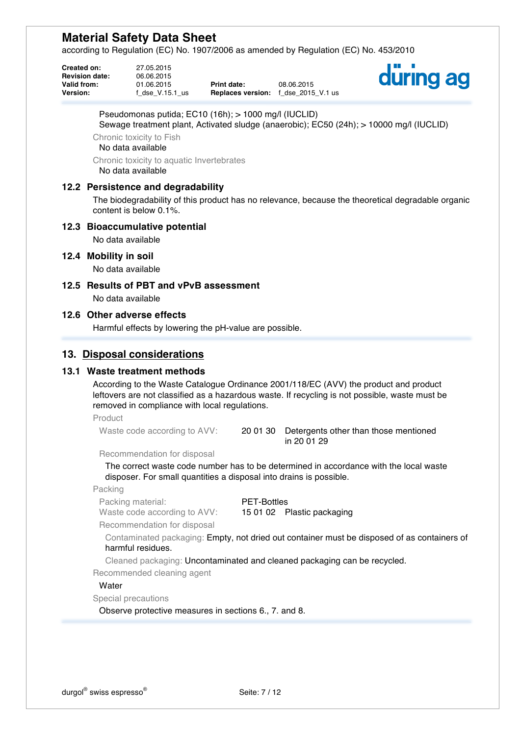according to Regulation (EC) No. 1907/2006 as amended by Regulation (EC) No. 453/2010

**Created on:** 27.05.2015 **Revision date:** 06.06.2015

**Valid from:** 01.06.2015 **Print date:** 08.06.2015<br>**Version:** f dse V.15.1 us **Replaces version:** f dse 2015 **Replaces version:** f\_dse\_2015\_V.1 us



Pseudomonas putida; EC10 (16h); > 1000 mg/l (IUCLID)

Sewage treatment plant, Activated sludge (anaerobic); EC50 (24h); > 10000 mg/l (IUCLID)

Chronic toxicity to Fish

No data available

Chronic toxicity to aquatic Invertebrates No data available

### **12.2 Persistence and degradability**

The biodegradability of this product has no relevance, because the theoretical degradable organic content is below 0.1%.

#### **12.3 Bioaccumulative potential**

No data available

#### **12.4 Mobility in soil**

No data available

### **12.5 Results of PBT and vPvB assessment**

No data available

## **12.6 Other adverse effects**

Harmful effects by lowering the pH-value are possible.

## **13. Disposal considerations**

#### **13.1 Waste treatment methods**

According to the Waste Catalogue Ordinance 2001/118/EC (AVV) the product and product leftovers are not classified as a hazardous waste. If recycling is not possible, waste must be removed in compliance with local regulations.

Product

Waste code according to AVV: 2001 30 Detergents other than those mentioned in 20 01 29

Recommendation for disposal

The correct waste code number has to be determined in accordance with the local waste disposer. For small quantities a disposal into drains is possible.

Packing

Packing material: PET-Bottles

Waste code according to AVV: 15 01 02 Plastic packaging

Recommendation for disposal

Contaminated packaging: Empty, not dried out container must be disposed of as containers of harmful residues.

Cleaned packaging: Uncontaminated and cleaned packaging can be recycled.

Recommended cleaning agent

#### **Water**

Special precautions

Observe protective measures in sections 6., 7. and 8.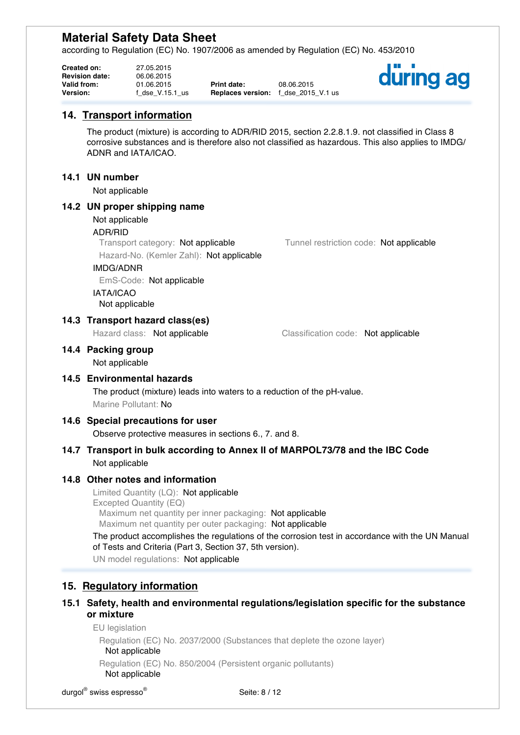according to Regulation (EC) No. 1907/2006 as amended by Regulation (EC) No. 453/2010

| Created on:           | 27.05.2015      |                                     |            |
|-----------------------|-----------------|-------------------------------------|------------|
| <b>Revision date:</b> | 06.06.2015      |                                     |            |
| Valid from:           | 01.06.2015      | <b>Print date:</b>                  | 08.06.2015 |
| Version:              | f dse V.15.1 us | <b>Replaces version:</b> f dse 2015 |            |

**Replaces version:** f\_dse\_2015\_V.1 us



# **14. Transport information**

The product (mixture) is according to ADR/RID 2015, section 2.2.8.1.9. not classified in Class 8 corrosive substances and is therefore also not classified as hazardous. This also applies to IMDG/ ADNR and IATA/ICAO.

## **14.1 UN number**

Not applicable

### **14.2 UN proper shipping name**

#### Not applicable

#### ADR/RID

Transport category: Not applicable Tunnel restriction code: Not applicable Hazard-No. (Kemler Zahl): Not applicable

#### IMDG/ADNR

EmS-Code: Not applicable

IATA/ICAO Not applicable

## **14.3 Transport hazard class(es)**

Hazard class: Not applicable Classification code: Not applicable

#### **14.4 Packing group**

Not applicable

### **14.5 Environmental hazards**

The product (mixture) leads into waters to a reduction of the pH-value. Marine Pollutant: No

#### **14.6 Special precautions for user**

Observe protective measures in sections 6., 7. and 8.

## **14.7 Transport in bulk according to Annex II of MARPOL73/78 and the IBC Code** Not applicable

#### **14.8 Other notes and information**

Limited Quantity (LQ): Not applicable Excepted Quantity (EQ) Maximum net quantity per inner packaging: Not applicable Maximum net quantity per outer packaging: Not applicable

The product accomplishes the regulations of the corrosion test in accordance with the UN Manual of Tests and Criteria (Part 3, Section 37, 5th version).

UN model regulations: Not applicable

# **15. Regulatory information**

# **15.1 Safety, health and environmental regulations/legislation specific for the substance or mixture**

EU legislation

Regulation (EC) No. 2037/2000 (Substances that deplete the ozone layer) Not applicable

Regulation (EC) No. 850/2004 (Persistent organic pollutants)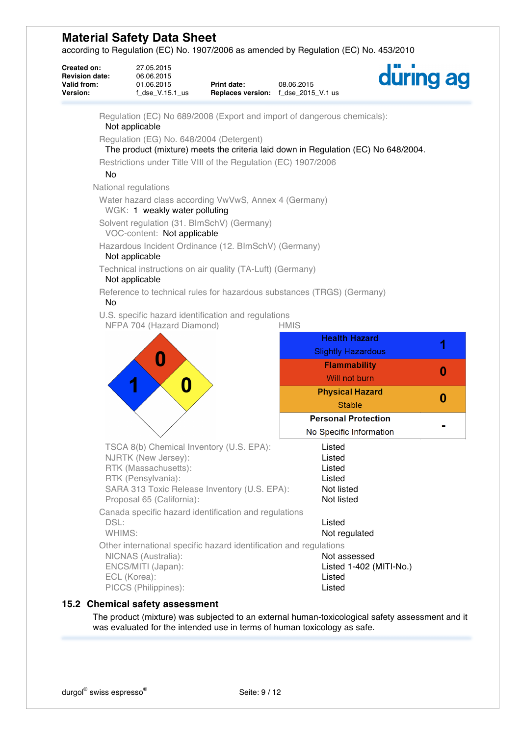according to Regulation (EC) No. 1907/2006 as amended by Regulation (EC) No. 453/2010

| Created on:<br><b>Revision date:</b><br>Valid from:<br>Version: | 27.05.2015<br>06.06.2015<br>01.06.2015<br>$f$ _dse_V.15.1_us                                                                            | <b>Print date:</b><br>Replaces version: f_dse_2015_V.1 us | 08.06.2015                                                                         | during ag |
|-----------------------------------------------------------------|-----------------------------------------------------------------------------------------------------------------------------------------|-----------------------------------------------------------|------------------------------------------------------------------------------------|-----------|
|                                                                 | Not applicable                                                                                                                          |                                                           | Regulation (EC) No 689/2008 (Export and import of dangerous chemicals):            |           |
|                                                                 | Regulation (EG) No. 648/2004 (Detergent)                                                                                                |                                                           | The product (mixture) meets the criteria laid down in Regulation (EC) No 648/2004. |           |
|                                                                 | Restrictions under Title VIII of the Regulation (EC) 1907/2006                                                                          |                                                           |                                                                                    |           |
| No                                                              |                                                                                                                                         |                                                           |                                                                                    |           |
| National regulations                                            |                                                                                                                                         |                                                           |                                                                                    |           |
|                                                                 | Water hazard class according VwVwS, Annex 4 (Germany)<br>WGK: 1 weakly water polluting                                                  |                                                           |                                                                                    |           |
|                                                                 | Solvent regulation (31. BlmSchV) (Germany)<br>VOC-content: Not applicable                                                               |                                                           |                                                                                    |           |
|                                                                 | Hazardous Incident Ordinance (12. BImSchV) (Germany)<br>Not applicable                                                                  |                                                           |                                                                                    |           |
|                                                                 | Technical instructions on air quality (TA-Luft) (Germany)<br>Not applicable                                                             |                                                           |                                                                                    |           |
| No                                                              |                                                                                                                                         |                                                           | Reference to technical rules for hazardous substances (TRGS) (Germany)             |           |
|                                                                 | U.S. specific hazard identification and regulations<br>NFPA 704 (Hazard Diamond)                                                        |                                                           | <b>HMIS</b>                                                                        |           |
|                                                                 |                                                                                                                                         |                                                           | <b>Health Hazard</b>                                                               |           |
|                                                                 |                                                                                                                                         |                                                           | <b>Slightly Hazardous</b>                                                          |           |
|                                                                 | N                                                                                                                                       |                                                           | <b>Flammability</b>                                                                |           |
|                                                                 |                                                                                                                                         |                                                           | Will not burn                                                                      | 0         |
|                                                                 | 0                                                                                                                                       |                                                           | <b>Physical Hazard</b>                                                             | 0         |
|                                                                 |                                                                                                                                         |                                                           | <b>Stable</b>                                                                      |           |
|                                                                 |                                                                                                                                         |                                                           | <b>Personal Protection</b>                                                         |           |
|                                                                 |                                                                                                                                         |                                                           | No Specific Information                                                            |           |
|                                                                 | TSCA 8(b) Chemical Inventory (U.S. EPA):                                                                                                |                                                           | Listed                                                                             |           |
|                                                                 | NJRTK (New Jersey):<br>RTK (Massachusetts):                                                                                             |                                                           | Listed<br>Listed                                                                   |           |
|                                                                 | RTK (Pensylvania):                                                                                                                      |                                                           | Listed                                                                             |           |
|                                                                 | SARA 313 Toxic Release Inventory (U.S. EPA):                                                                                            |                                                           | Not listed                                                                         |           |
|                                                                 | Proposal 65 (California):                                                                                                               |                                                           | Not listed                                                                         |           |
| DSL:                                                            | Canada specific hazard identification and regulations                                                                                   |                                                           | Listed                                                                             |           |
| WHIMS:                                                          |                                                                                                                                         |                                                           | Not regulated                                                                      |           |
| ECL (Korea):                                                    | Other international specific hazard identification and regulations<br>NICNAS (Australia):<br>ENCS/MITI (Japan):<br>PICCS (Philippines): |                                                           | Not assessed<br>Listed 1-402 (MITI-No.)<br>Listed<br>Listed                        |           |
|                                                                 |                                                                                                                                         |                                                           |                                                                                    |           |

# **15.2 Chemical safety assessment**

The product (mixture) was subjected to an external human-toxicological safety assessment and it was evaluated for the intended use in terms of human toxicology as safe.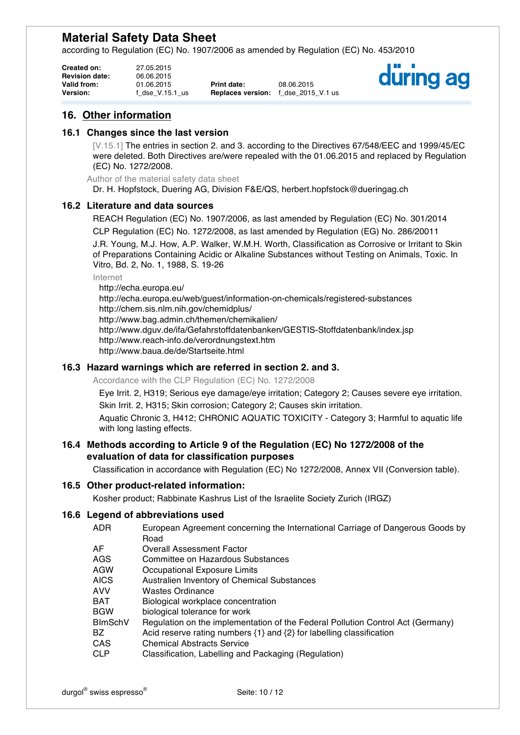according to Regulation (EC) No. 1907/2006 as amended by Regulation (EC) No. 453/2010

| <b>Created on:</b>    | 27.05.2015      |                                     |            |
|-----------------------|-----------------|-------------------------------------|------------|
| <b>Revision date:</b> | 06.06.2015      |                                     |            |
| Valid from:           | 01.06.2015      | <b>Print date:</b>                  | 08.06.2015 |
| <b>Version:</b>       | f dse V.15.1 us | <b>Replaces version:</b> f dse 2015 |            |

**Presion:** f\_dse\_2015\_V.1 us



# **16. Other information**

### **16.1 Changes since the last version**

[V.15.1] The entries in section 2. and 3. according to the Directives 67/548/EEC and 1999/45/EC were deleted. Both Directives are/were repealed with the 01.06.2015 and replaced by Regulation (EC) No. 1272/2008.

Author of the material safety data sheet

Dr. H. Hopfstock, Duering AG, Division F&E/QS, herbert.hopfstock@dueringag.ch

## **16.2 Literature and data sources**

REACH Regulation (EC) No. 1907/2006, as last amended by Regulation (EC) No. 301/2014 CLP Regulation (EC) No. 1272/2008, as last amended by Regulation (EG) No. 286/20011 J.R. Young, M.J. How, A.P. Walker, W.M.H. Worth, Classification as Corrosive or Irritant to Skin of Preparations Containing Acidic or Alkaline Substances without Testing on Animals, Toxic. In Vitro, Bd. 2, No. 1, 1988, S. 19-26

Internet

http://echa.europa.eu/ http://echa.europa.eu/web/guest/information-on-chemicals/registered-substances http://chem.sis.nlm.nih.gov/chemidplus/ http://www.bag.admin.ch/themen/chemikalien/ http://www.dguv.de/ifa/Gefahrstoffdatenbanken/GESTIS-Stoffdatenbank/index.jsp http://www.reach-info.de/verordnungstext.htm http://www.baua.de/de/Startseite.html

## **16.3 Hazard warnings which are referred in section 2. and 3.**

Accordance with the CLP Regulation (EC) No. 1272/2008

Eye Irrit. 2, H319; Serious eye damage/eye irritation; Category 2; Causes severe eye irritation.

Skin Irrit. 2, H315; Skin corrosion; Category 2; Causes skin irritation.

Aquatic Chronic 3, H412; CHRONIC AQUATIC TOXICITY - Category 3; Harmful to aquatic life with long lasting effects.

#### **16.4 Methods according to Article 9 of the Regulation (EC) No 1272/2008 of the evaluation of data for classification purposes**

Classification in accordance with Regulation (EC) No 1272/2008, Annex VII (Conversion table).

# **16.5 Other product-related information:**

Kosher product; Rabbinate Kashrus List of the Israelite Society Zurich (IRGZ)

#### **16.6 Legend of abbreviations used**

- ADR European Agreement concerning the International Carriage of Dangerous Goods by Road
- AF Overall Assessment Factor
- AGS Committee on Hazardous Substances
- AGW Occupational Exposure Limits
- AICS Australien Inventory of Chemical Substances
- AVV Wastes Ordinance
- BAT Biological workplace concentration
- BGW biological tolerance for work
- BImSchV Regulation on the implementation of the Federal Pollution Control Act (Germany)
- BZ Acid reserve rating numbers {1} and {2} for labelling classification
- CAS Chemical Abstracts Service
- CLP Classification, Labelling and Packaging (Regulation)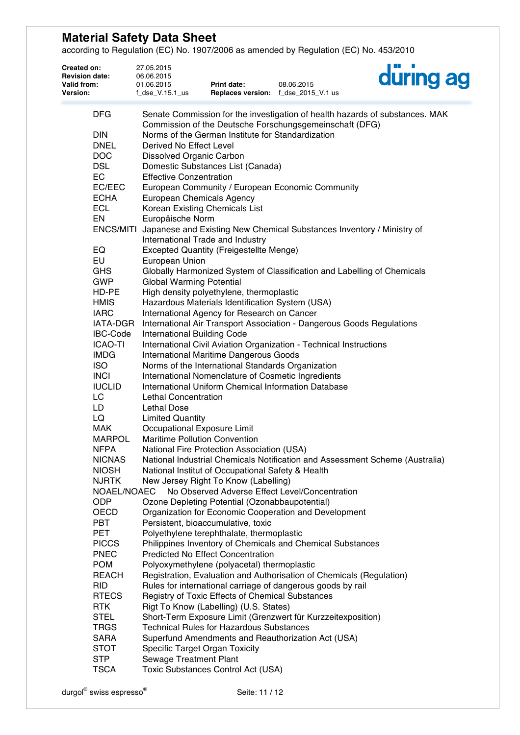according to Regulation (EC) No. 1907/2006 as amended by Regulation (EC) No. 453/2010

| 27.05.2015<br>06.06.2015<br>01.06.2015 | Print date:                                   | 08.06.2015                                                                                                                                                                                                                                                                                                                                                                                                                                                                                                                                        | a di B<br>during ag                                                                                                                                                                                                                                                                                                                                                                                                                                                                                                                                                                                                                                                                                                                                                                                                                                                                                                                                                                                                                                                                                                                                                                                                                                                                                                                                                                                                                                                                                                                                                                                                                                                                                                                                                                                                                                                                                                                                                                                                                                                                                            |
|----------------------------------------|-----------------------------------------------|---------------------------------------------------------------------------------------------------------------------------------------------------------------------------------------------------------------------------------------------------------------------------------------------------------------------------------------------------------------------------------------------------------------------------------------------------------------------------------------------------------------------------------------------------|----------------------------------------------------------------------------------------------------------------------------------------------------------------------------------------------------------------------------------------------------------------------------------------------------------------------------------------------------------------------------------------------------------------------------------------------------------------------------------------------------------------------------------------------------------------------------------------------------------------------------------------------------------------------------------------------------------------------------------------------------------------------------------------------------------------------------------------------------------------------------------------------------------------------------------------------------------------------------------------------------------------------------------------------------------------------------------------------------------------------------------------------------------------------------------------------------------------------------------------------------------------------------------------------------------------------------------------------------------------------------------------------------------------------------------------------------------------------------------------------------------------------------------------------------------------------------------------------------------------------------------------------------------------------------------------------------------------------------------------------------------------------------------------------------------------------------------------------------------------------------------------------------------------------------------------------------------------------------------------------------------------------------------------------------------------------------------------------------------------|
|                                        |                                               |                                                                                                                                                                                                                                                                                                                                                                                                                                                                                                                                                   |                                                                                                                                                                                                                                                                                                                                                                                                                                                                                                                                                                                                                                                                                                                                                                                                                                                                                                                                                                                                                                                                                                                                                                                                                                                                                                                                                                                                                                                                                                                                                                                                                                                                                                                                                                                                                                                                                                                                                                                                                                                                                                                |
| $f$ _dse_V.15.1_us                     |                                               |                                                                                                                                                                                                                                                                                                                                                                                                                                                                                                                                                   |                                                                                                                                                                                                                                                                                                                                                                                                                                                                                                                                                                                                                                                                                                                                                                                                                                                                                                                                                                                                                                                                                                                                                                                                                                                                                                                                                                                                                                                                                                                                                                                                                                                                                                                                                                                                                                                                                                                                                                                                                                                                                                                |
|                                        |                                               |                                                                                                                                                                                                                                                                                                                                                                                                                                                                                                                                                   |                                                                                                                                                                                                                                                                                                                                                                                                                                                                                                                                                                                                                                                                                                                                                                                                                                                                                                                                                                                                                                                                                                                                                                                                                                                                                                                                                                                                                                                                                                                                                                                                                                                                                                                                                                                                                                                                                                                                                                                                                                                                                                                |
|                                        |                                               |                                                                                                                                                                                                                                                                                                                                                                                                                                                                                                                                                   |                                                                                                                                                                                                                                                                                                                                                                                                                                                                                                                                                                                                                                                                                                                                                                                                                                                                                                                                                                                                                                                                                                                                                                                                                                                                                                                                                                                                                                                                                                                                                                                                                                                                                                                                                                                                                                                                                                                                                                                                                                                                                                                |
|                                        |                                               |                                                                                                                                                                                                                                                                                                                                                                                                                                                                                                                                                   |                                                                                                                                                                                                                                                                                                                                                                                                                                                                                                                                                                                                                                                                                                                                                                                                                                                                                                                                                                                                                                                                                                                                                                                                                                                                                                                                                                                                                                                                                                                                                                                                                                                                                                                                                                                                                                                                                                                                                                                                                                                                                                                |
|                                        |                                               |                                                                                                                                                                                                                                                                                                                                                                                                                                                                                                                                                   |                                                                                                                                                                                                                                                                                                                                                                                                                                                                                                                                                                                                                                                                                                                                                                                                                                                                                                                                                                                                                                                                                                                                                                                                                                                                                                                                                                                                                                                                                                                                                                                                                                                                                                                                                                                                                                                                                                                                                                                                                                                                                                                |
|                                        |                                               |                                                                                                                                                                                                                                                                                                                                                                                                                                                                                                                                                   |                                                                                                                                                                                                                                                                                                                                                                                                                                                                                                                                                                                                                                                                                                                                                                                                                                                                                                                                                                                                                                                                                                                                                                                                                                                                                                                                                                                                                                                                                                                                                                                                                                                                                                                                                                                                                                                                                                                                                                                                                                                                                                                |
|                                        |                                               |                                                                                                                                                                                                                                                                                                                                                                                                                                                                                                                                                   |                                                                                                                                                                                                                                                                                                                                                                                                                                                                                                                                                                                                                                                                                                                                                                                                                                                                                                                                                                                                                                                                                                                                                                                                                                                                                                                                                                                                                                                                                                                                                                                                                                                                                                                                                                                                                                                                                                                                                                                                                                                                                                                |
|                                        | IATA-DGR<br><b>Lethal Dose</b><br>NOAEL/NOAEC | Derived No Effect Level<br>Dissolved Organic Carbon<br><b>Effective Conzentration</b><br><b>European Chemicals Agency</b><br>Korean Existing Chemicals List<br>Europäische Norm<br>International Trade and Industry<br>European Union<br><b>Global Warming Potential</b><br>International Building Code<br><b>Lethal Concentration</b><br><b>Limited Quantity</b><br>Occupational Exposure Limit<br><b>Maritime Pollution Convention</b><br>Persistent, bioaccumulative, toxic<br><b>Specific Target Organ Toxicity</b><br>Sewage Treatment Plant | Replaces version: f_dse_2015_V.1 us<br>Senate Commission for the investigation of health hazards of substances. MAK<br>Commission of the Deutsche Forschungsgemeinschaft (DFG)<br>Norms of the German Institute for Standardization<br>Domestic Substances List (Canada)<br>European Community / European Economic Community<br>ENCS/MITI Japanese and Existing New Chemical Substances Inventory / Ministry of<br><b>Excepted Quantity (Freigestellte Menge)</b><br>Globally Harmonized System of Classification and Labelling of Chemicals<br>High density polyethylene, thermoplastic<br>Hazardous Materials Identification System (USA)<br>International Agency for Research on Cancer<br>International Air Transport Association - Dangerous Goods Regulations<br>International Civil Aviation Organization - Technical Instructions<br>International Maritime Dangerous Goods<br>Norms of the International Standards Organization<br>International Nomenclature of Cosmetic Ingredients<br>International Uniform Chemical Information Database<br><b>National Fire Protection Association (USA)</b><br>National Industrial Chemicals Notification and Assessment Scheme (Australia)<br>National Institut of Occupational Safety & Health<br>New Jersey Right To Know (Labelling)<br>No Observed Adverse Effect Level/Concentration<br>Ozone Depleting Potential (Ozonabbaupotential)<br>Organization for Economic Cooperation and Development<br>Polyethylene terephthalate, thermoplastic<br>Philippines Inventory of Chemicals and Chemical Substances<br><b>Predicted No Effect Concentration</b><br>Polyoxymethylene (polyacetal) thermoplastic<br>Registration, Evaluation and Authorisation of Chemicals (Regulation)<br>Rules for international carriage of dangerous goods by rail<br>Registry of Toxic Effects of Chemical Substances<br>Rigt To Know (Labelling) (U.S. States)<br>Short-Term Exposure Limit (Grenzwert für Kurzzeitexposition)<br><b>Technical Rules for Hazardous Substances</b><br>Superfund Amendments and Reauthorization Act (USA)<br>Toxic Substances Control Act (USA) |